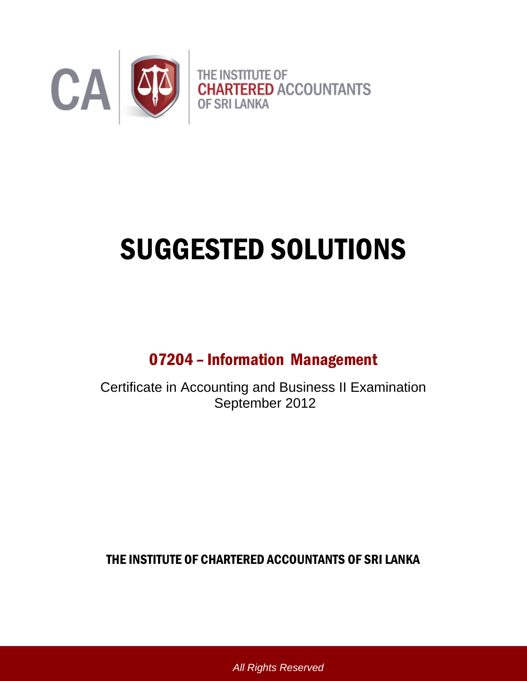

# SUGGESTED SOLUTIONS

# 07204 – Information Management

Certificate in Accounting and Business II Examination September 2012

THE INSTITUTE OF CHARTERED ACCOUNTANTS OF SRI LANKA

*All Rights Reserved*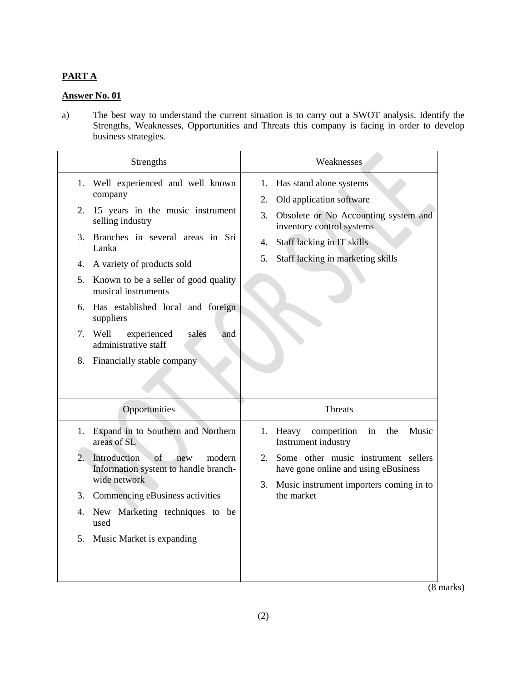## **PART A**

# **Answer No. 01**

a) The best way to understand the current situation is to carry out a SWOT analysis. Identify the Strengths, Weaknesses, Opportunities and Threats this company is facing in order to develop business strategies.

| Strengths                                                                                                                                                                                                                                                                                                                                                                                                                             | Weaknesses                                                                                                                                                                                                                |
|---------------------------------------------------------------------------------------------------------------------------------------------------------------------------------------------------------------------------------------------------------------------------------------------------------------------------------------------------------------------------------------------------------------------------------------|---------------------------------------------------------------------------------------------------------------------------------------------------------------------------------------------------------------------------|
| 1. Well experienced and well known<br>company<br>15 years in the music instrument<br>2.<br>selling industry<br>Branches in several areas in Sri<br>3.<br>Lanka<br>A variety of products sold<br>4.<br>5. Known to be a seller of good quality<br>musical instruments<br>Has established local and foreign<br>6.<br>suppliers<br>experienced<br>Well<br>sales<br>7.<br>and<br>administrative staff<br>Financially stable company<br>8. | Has stand alone systems<br>1.<br>Old application software<br>2.<br>3.<br>Obsolete or No Accounting system and<br>inventory control systems<br>Staff lacking in IT skills<br>4.<br>5.<br>Staff lacking in marketing skills |
| Opportunities                                                                                                                                                                                                                                                                                                                                                                                                                         | <b>Threats</b>                                                                                                                                                                                                            |
| Expand in to Southern and Northern<br>1.<br>areas of SL<br>$\overline{2}$ .<br>Introduction<br>of<br>modern<br>new<br>Information system to handle branch-<br>wide network<br>3. Commencing eBusiness activities<br>New Marketing techniques to be<br>4.<br>used<br>5.<br>Music Market is expanding                                                                                                                                   | Music<br>1. Heavy<br>competition<br>in<br>the<br>Instrument industry<br>Some other music instrument sellers<br>2.<br>have gone online and using eBusiness<br>Music instrument importers coming in to<br>3.<br>the market  |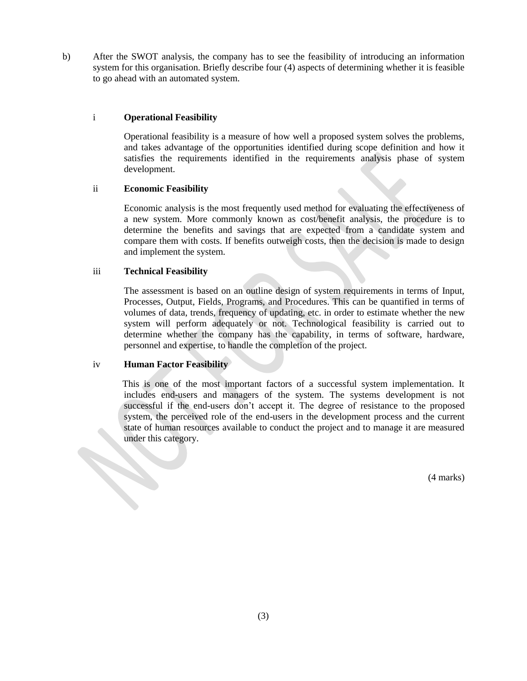b) After the SWOT analysis, the company has to see the feasibility of introducing an information system for this organisation. Briefly describe four (4) aspects of determining whether it is feasible to go ahead with an automated system.

#### i **Operational Feasibility**

Operational feasibility is a measure of how well a proposed system solves the problems, and takes advantage of the opportunities identified during scope definition and how it satisfies the requirements identified in the requirements analysis phase of system development.

#### ii **Economic Feasibility**

Economic analysis is the most frequently used method for evaluating the effectiveness of a new system. More commonly known as [cost/benefit analysis,](http://en.wikipedia.org/wiki/Cost-benefit_analysis) the procedure is to determine the benefits and savings that are expected from a candidate system and compare them with costs. If benefits outweigh costs, then the decision is made to design and implement the system.

#### iii **Technical Feasibility**

The assessment is based on an outline design of system requirements in terms of Input, Processes, Output, Fields, Programs, and Procedures. This can be quantified in terms of volumes of data, trends, frequency of updating, etc. in order to estimate whether the new system will perform adequately or not. Technological feasibility is carried out to determine whether the company has the capability, in terms of software, hardware, personnel and expertise, to handle the completion of the project.

#### iv **Human Factor Feasibility**

This is one of the most important factors of a successful system implementation. It includes end-users and managers of the system. The systems development is not successful if the end-users don"t accept it. The degree of resistance to the proposed system, the perceived role of the end-users in the development process and the current state of human resources available to conduct the project and to manage it are measured under this category.

(4 marks)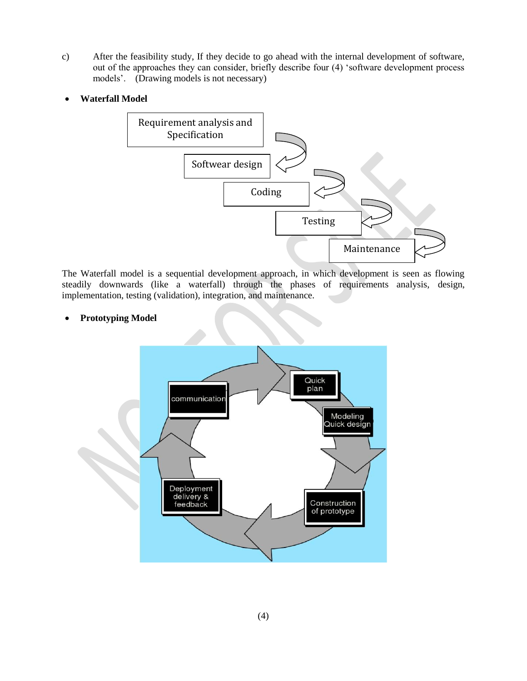- c) After the feasibility study, If they decide to go ahead with the internal development of software, out of the approaches they can consider, briefly describe four (4) "software development process models'. (Drawing models is not necessary)
- **Waterfall Model**



The [Waterfall model](http://en.wikipedia.org/wiki/Waterfall_model) is a sequential development approach, in which development is seen as flowing steadily downwards (like a waterfall) through the phases of requirements analysis, design, implementation, testing (validation), integration, and maintenance.

**Prototyping Model**

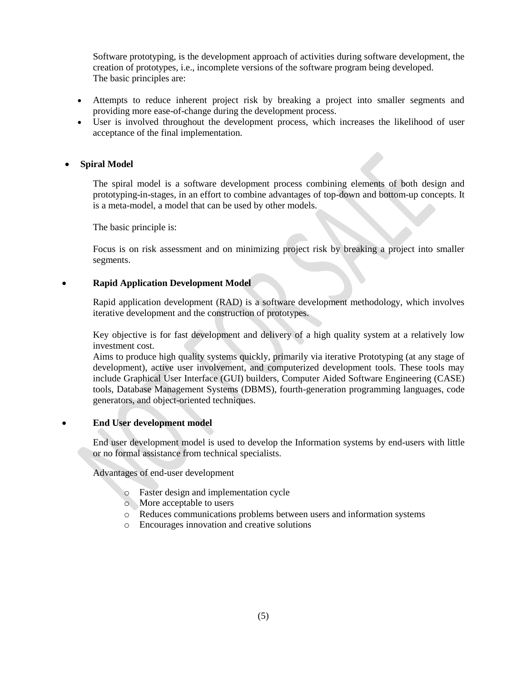Software prototyping, is the development approach of activities during software development, the creation of prototypes, i.e., incomplete versions of the software program being developed. The basic principles are:

- Attempts to reduce inherent project risk by breaking a project into smaller segments and providing more ease-of-change during the development process.
- User is involved throughout the development process, which increases the likelihood of user acceptance of the final implementation.

#### **Spiral Model**

The spiral model is a software development process combining elements of both design and prototyping-in-stages, in an effort to combine advantages of top-down and bottom-up concepts. It is a meta-model, a model that can be used by other models.

The basic principle is:

Focus is on risk assessment and on minimizing project risk by breaking a project into smaller segments.

**Rapid Application Development Model**

Rapid application development (RAD) is a software development methodology, which involves iterative development and the construction of prototypes.

Key objective is for fast development and delivery of a high quality system at a relatively low investment cost.

Aims to produce high quality systems quickly, primarily via iterative Prototyping (at any stage of development), active user involvement, and computerized development tools. These tools may include Graphical User Interface (GUI) builders, Computer Aided Software Engineering (CASE) tools, Database Management Systems (DBMS), fourth-generation programming languages, code generators, and object-oriented techniques.

#### **End User development model**

End user development model is used to develop the Information systems by end-users with little or no formal assistance from technical specialists.

Advantages of end-user development

- o Faster design and implementation cycle
- o More acceptable to users
- o Reduces communications problems between users and information systems
- o Encourages innovation and creative solutions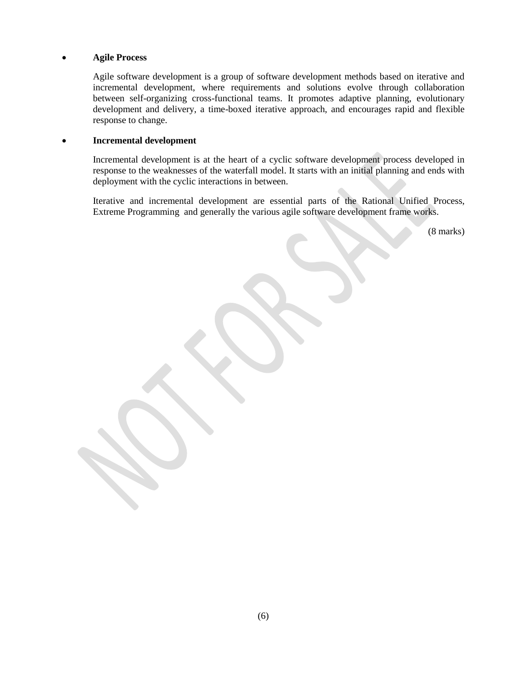#### **Agile Process**

Agile software development is a group of software development methods based on iterative and incremental development, where requirements and solutions evolve through collaboration between self-organizing cross-functional teams. It promotes adaptive planning, evolutionary development and delivery, a time-boxed iterative approach, and encourages rapid and flexible response to change.

#### **Incremental development**

Incremental development is at the heart of a cyclic software development process developed in response to the weaknesses of the waterfall model. It starts with an initial planning and ends with deployment with the cyclic interactions in between.

Iterative and incremental development are essential parts of the Rational Unified Process, Extreme Programming and generally the various agile software development frame works.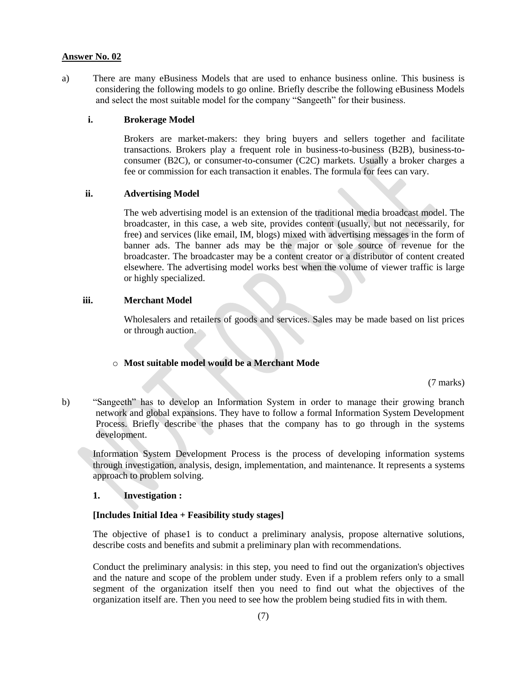a) There are many eBusiness Models that are used to enhance business online. This business is considering the following models to go online. Briefly describe the following eBusiness Models and select the most suitable model for the company "Sangeeth" for their business.

#### **i. Brokerage Model**

Brokers are market-makers: they bring buyers and sellers together and facilitate transactions. Brokers play a frequent role in business-to-business (B2B), business-toconsumer (B2C), or consumer-to-consumer (C2C) markets. Usually a broker charges a fee or commission for each transaction it enables. The formula for fees can vary.

#### **ii. Advertising Model**

The web advertising model is an extension of the traditional media broadcast model. The broadcaster, in this case, a web site, provides content (usually, but not necessarily, for free) and services (like email, IM, blogs) mixed with advertising messages in the form of banner ads. The banner ads may be the major or sole source of revenue for the broadcaster. The broadcaster may be a content creator or a distributor of content created elsewhere. The advertising model works best when the volume of viewer traffic is large or highly specialized.

#### **iii. Merchant Model**

Wholesalers and retailers of goods and services. Sales may be made based on list prices or through auction.

#### o **Most suitable model would be a Merchant Mode**

(7 marks)

b) "Sangeeth" has to develop an Information System in order to manage their growing branch network and global expansions. They have to follow a formal Information System Development Process. Briefly describe the phases that the company has to go through in the systems development.

Information System Development Process is the process of developing information systems through investigation, analysis, design, implementation, and maintenance. It represents a systems approach to problem solving.

#### **1. Investigation :**

#### **[Includes Initial Idea + Feasibility study stages]**

The objective of phase1 is to conduct a preliminary analysis, propose alternative solutions, describe costs and benefits and submit a preliminary plan with recommendations.

Conduct the preliminary analysis: in this step, you need to find out the organization's objectives and the nature and scope of the problem under study. Even if a problem refers only to a small segment of the organization itself then you need to find out what the objectives of the organization itself are. Then you need to see how the problem being studied fits in with them.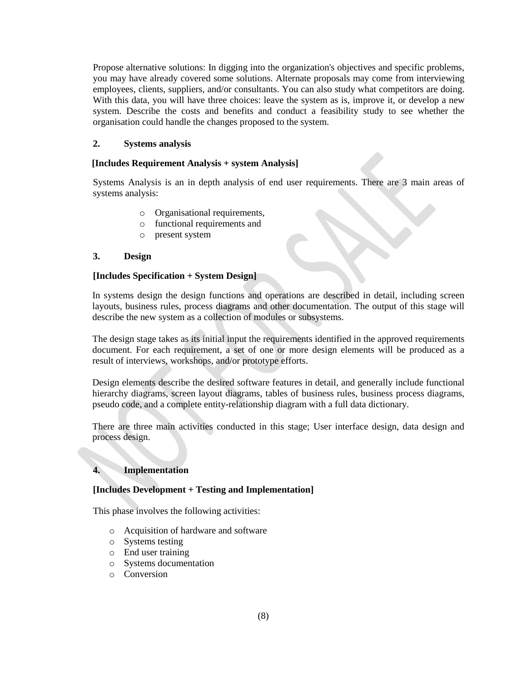Propose alternative solutions: In digging into the organization's objectives and specific problems, you may have already covered some solutions. Alternate proposals may come from interviewing employees, clients, suppliers, and/or consultants. You can also study what competitors are doing. With this data, you will have three choices: leave the system as is, improve it, or develop a new system. Describe the costs and benefits and conduct a feasibility study to see whether the organisation could handle the changes proposed to the system.

#### **2. Systems analysis**

#### **[Includes Requirement Analysis + system Analysis]**

Systems Analysis is an in depth analysis of end user requirements. There are 3 main areas of systems analysis:

- o Organisational requirements,
- o functional requirements and
- o present system

#### **3. Design**

#### **[Includes Specification + System Design]**

In systems design the design functions and operations are described in detail, including screen layouts, business rules, process diagrams and other documentation. The output of this stage will describe the new system as a collection of modules or subsystems.

The design stage takes as its initial input the requirements identified in the approved requirements document. For each requirement, a set of one or more design elements will be produced as a result of interviews, workshops, and/or prototype efforts.

Design elements describe the desired software features in detail, and generally include functional hierarchy diagrams, screen layout diagrams, tables of business rules, business process diagrams, pseudo code, and a complete entity-relationship diagram with a full data dictionary.

There are three main activities conducted in this stage; User interface design, data design and process design.

#### **4. Implementation**

#### **[Includes Development + Testing and Implementation]**

This phase involves the following activities:

- o Acquisition of hardware and software
- o Systems testing
- o End user training
- o Systems documentation
- o Conversion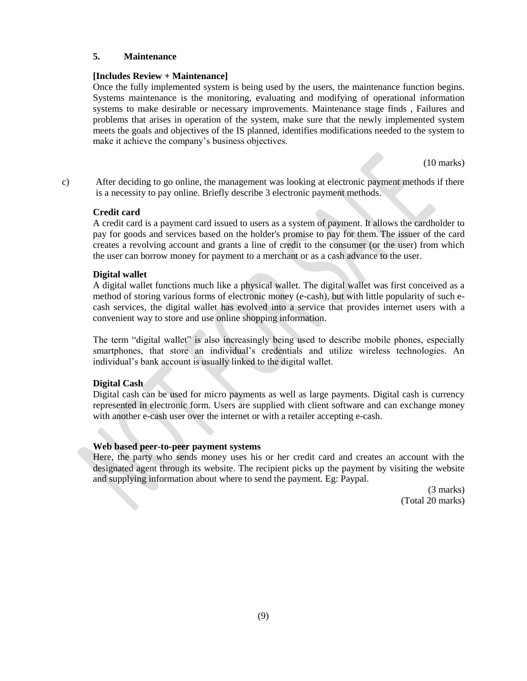#### **5. Maintenance**

#### **[Includes Review + Maintenance]**

Once the fully implemented system is being used by the users, the maintenance function begins. Systems maintenance is the monitoring, evaluating and modifying of operational information systems to make desirable or necessary improvements. Maintenance stage finds , Failures and problems that arises in operation of the system, make sure that the newly implemented system meets the goals and objectives of the IS planned, identifies modifications needed to the system to make it achieve the company"s business objectives.

(10 marks)

c) After deciding to go online, the management was looking at electronic payment methods if there is a necessity to pay online. Briefly describe 3 electronic payment methods.

#### **Credit card**

A credit card is a payment card issued to users as a system of payment. It allows the cardholder to pay for goods and services based on the holder's promise to pay for them. The issuer of the card creates a revolving account and grants a line of credit to the consumer (or the user) from which the user can borrow money for payment to a merchant or as a cash advance to the user.

#### **Digital wallet**

A digital wallet functions much like a physical wallet. The digital wallet was first conceived as a method of storing various forms of electronic money (e-cash), but with little popularity of such ecash services, the digital wallet has evolved into a service that provides internet users with a convenient way to store and use online shopping information.

The term "digital wallet" is also increasingly being used to describe mobile phones, especially smartphones, that store an individual's credentials and utilize wireless technologies. An individual's bank account is usually linked to the digital wallet.

#### **Digital Cash**

Digital cash can be used for micro payments as well as large payments. Digital cash is currency represented in electronic form. Users are supplied with client software and can exchange money with another e-cash user over the internet or with a retailer accepting e-cash.

#### **Web based peer-to-peer payment systems**

Here, the party who sends money uses his or her credit card and creates an account with the designated agent through its website. The recipient picks up the payment by visiting the website and supplying information about where to send the payment. Eg: Paypal.

> (3 marks) (Total 20 marks)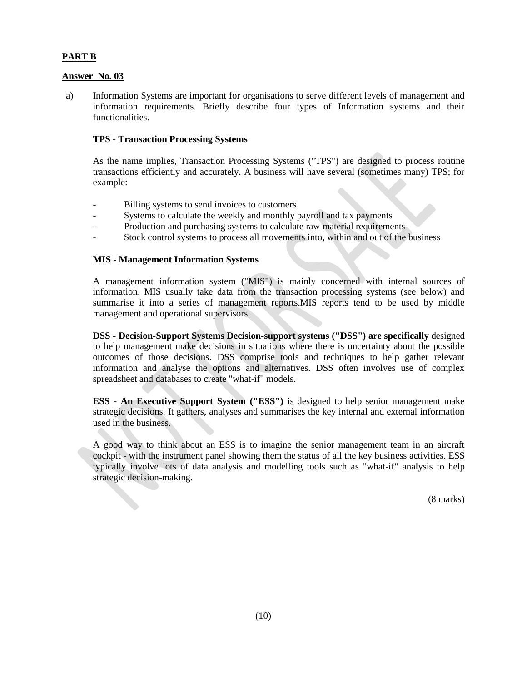### **PART B**

#### **Answer No. 03**

a) Information Systems are important for organisations to serve different levels of management and information requirements. Briefly describe four types of Information systems and their functionalities.

#### **TPS - Transaction Processing Systems**

As the name implies, Transaction Processing Systems ("TPS") are designed to process routine transactions efficiently and accurately. A business will have several (sometimes many) TPS; for example:

- Billing systems to send invoices to customers
- Systems to calculate the weekly and monthly payroll and tax payments
- Production and purchasing systems to calculate raw material requirements
- Stock control systems to process all movements into, within and out of the business

#### **MIS - Management Information Systems**

A management information system ("MIS") is mainly concerned with internal sources of information. MIS usually take data from the transaction processing systems (see below) and summarise it into a series of management reports.MIS reports tend to be used by middle management and operational supervisors.

**DSS - Decision-Support Systems Decision-support systems ("DSS") are specifically** designed to help management make decisions in situations where there is uncertainty about the possible outcomes of those decisions. DSS comprise tools and techniques to help gather relevant information and analyse the options and alternatives. DSS often involves use of complex spreadsheet and databases to create "what-if" models.

**ESS - An Executive Support System ("ESS")** is designed to help senior management make strategic decisions. It gathers, analyses and summarises the key internal and external information used in the business.

A good way to think about an ESS is to imagine the senior management team in an aircraft cockpit - with the instrument panel showing them the status of all the key business activities. ESS typically involve lots of data analysis and modelling tools such as "what-if" analysis to help strategic decision-making.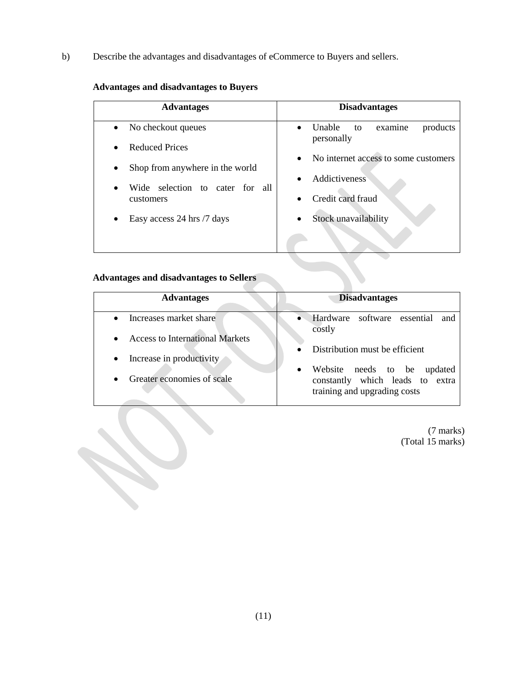b) Describe the advantages and disadvantages of eCommerce to Buyers and sellers.

# **Advantages and disadvantages to Buyers**

| <b>Advantages</b>                                    | <b>Disadvantages</b>                                                  |
|------------------------------------------------------|-----------------------------------------------------------------------|
| No checkout queues<br>$\bullet$                      | <b>Unable</b><br>products<br>to<br>examine<br>$\bullet$<br>personally |
| <b>Reduced Prices</b><br>$\bullet$                   | No internet access to some customers<br>$\bullet$                     |
| Shop from anywhere in the world<br>٠                 | Addictiveness<br>$\bullet$                                            |
| selection to cater for all<br>Wide<br>٠<br>customers | Credit card fraud<br>$\bullet$                                        |
| Easy access 24 hrs /7 days<br>٠                      | Stock unavailability<br>$\bullet$                                     |
|                                                      |                                                                       |

# **Advantages and disadvantages to Sellers**

| <b>Advantages</b>                                                                          | <b>Disadvantages</b>                                                                                           |
|--------------------------------------------------------------------------------------------|----------------------------------------------------------------------------------------------------------------|
| Increases market share<br>$\bullet$<br><b>Access to International Markets</b><br>$\bullet$ | Hardware software essential<br>and<br>costly                                                                   |
| Increase in productivity<br>$\bullet$                                                      | Distribution must be efficient                                                                                 |
| Greater economies of scale<br>$\bullet$                                                    | Website needs to be<br>updated<br>$\bullet$<br>constantly which leads to extra<br>training and upgrading costs |

(7 marks) (Total 15 marks)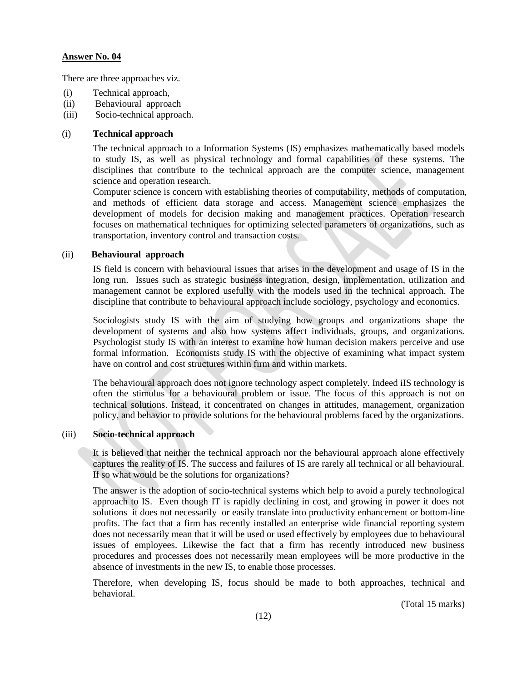There are three approaches viz.

- (i) Technical approach,
- (ii) Behavioural approach
- (iii) Socio-technical approach.

#### (i) **Technical approach**

The technical approach to a Information Systems (IS) emphasizes mathematically based models to study IS, as well as physical technology and formal capabilities of these systems. The disciplines that contribute to the technical approach are the computer science, management science and operation research.

Computer science is concern with establishing theories of computability, methods of computation, and methods of efficient data storage and access. Management science emphasizes the development of models for decision making and management practices. Operation research focuses on mathematical techniques for optimizing selected parameters of organizations, such as transportation, inventory control and transaction costs.

#### (ii) **Behavioural approach**

IS field is concern with behavioural issues that arises in the development and usage of IS in the long run. Issues such as strategic business integration, design, implementation, utilization and management cannot be explored usefully with the models used in the technical approach. The discipline that contribute to behavioural approach include sociology, psychology and economics.

Sociologists study IS with the aim of studying how groups and organizations shape the development of systems and also how systems affect individuals, groups, and organizations. Psychologist study IS with an interest to examine how human decision makers perceive and use formal information. Economists study IS with the objective of examining what impact system have on control and cost structures within firm and within markets.

The behavioural approach does not ignore technology aspect completely. Indeed iIS technology is often the stimulus for a behavioural problem or issue. The focus of this approach is not on technical solutions. Instead, it concentrated on changes in attitudes, management, organization policy, and behavior to provide solutions for the behavioural problems faced by the organizations.

#### (iii) **Socio-technical approach**

It is believed that neither the technical approach nor the behavioural approach alone effectively captures the reality of IS. The success and failures of IS are rarely all technical or all behavioural. If so what would be the solutions for organizations?

The answer is the adoption of socio-technical systems which help to avoid a purely technological approach to IS. Even though IT is rapidly declining in cost, and growing in power it does not solutions it does not necessarily or easily translate into productivity enhancement or bottom-line profits. The fact that a firm has recently installed an enterprise wide financial reporting system does not necessarily mean that it will be used or used effectively by employees due to behavioural issues of employees. Likewise the fact that a firm has recently introduced new business procedures and processes does not necessarily mean employees will be more productive in the absence of investments in the new IS, to enable those processes.

Therefore, when developing IS, focus should be made to both approaches, technical and behavioral.

(Total 15 marks)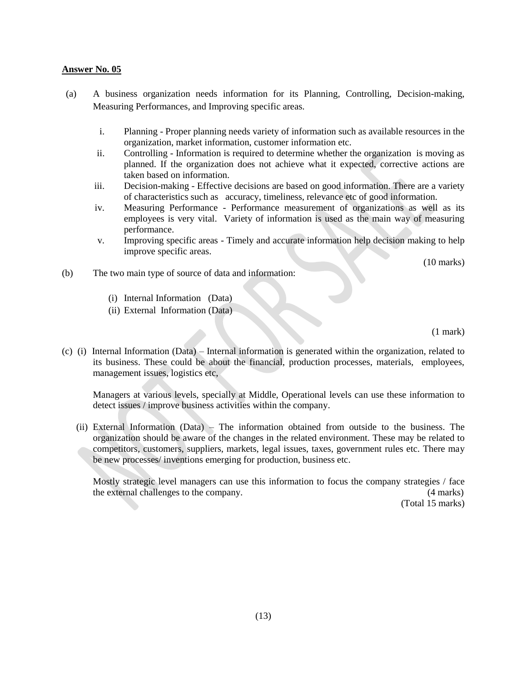- (a) A business organization needs information for its Planning, Controlling, Decision-making, Measuring Performances, and Improving specific areas.
	- i. Planning Proper planning needs variety of information such as available resources in the organization, market information, customer information etc.
	- ii. Controlling Information is required to determine whether the organization is moving as planned. If the organization does not achieve what it expected, corrective actions are taken based on information.
	- iii. Decision-making Effective decisions are based on good information. There are a variety of characteristics such as accuracy, timeliness, relevance etc of good information.
	- iv. Measuring Performance Performance measurement of organizations as well as its employees is very vital. Variety of information is used as the main way of measuring performance.
	- v. Improving specific areas Timely and accurate information help decision making to help improve specific areas.

(10 marks)

- (b) The two main type of source of data and information:
	- (i) Internal Information (Data)
	- (ii) External Information (Data)

(1 mark)

(c) (i) Internal Information (Data) – Internal information is generated within the organization, related to its business. These could be about the financial, production processes, materials, employees, management issues, logistics etc,

Managers at various levels, specially at Middle, Operational levels can use these information to detect issues / improve business activities within the company.

 (ii) External Information (Data) – The information obtained from outside to the business. The organization should be aware of the changes in the related environment. These may be related to competitors, customers, suppliers, markets, legal issues, taxes, government rules etc. There may be new processes/ inventions emerging for production, business etc.

Mostly strategic level managers can use this information to focus the company strategies / face the external challenges to the company. (4 marks)

(Total 15 marks)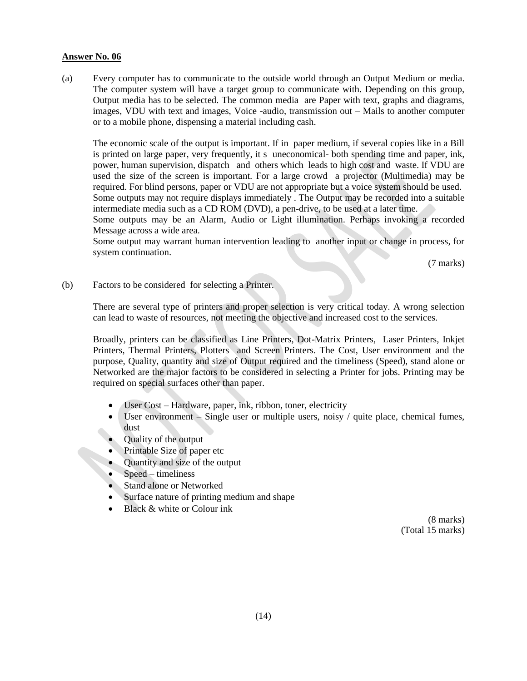(a) Every computer has to communicate to the outside world through an Output Medium or media. The computer system will have a target group to communicate with. Depending on this group, Output media has to be selected. The common media are Paper with text, graphs and diagrams, images, VDU with text and images, Voice -audio, transmission out – Mails to another computer or to a mobile phone, dispensing a material including cash.

The economic scale of the output is important. If in paper medium, if several copies like in a Bill is printed on large paper, very frequently, it s uneconomical- both spending time and paper, ink, power, human supervision, dispatch and others which leads to high cost and waste. If VDU are used the size of the screen is important. For a large crowd a projector (Multimedia) may be required. For blind persons, paper or VDU are not appropriate but a voice system should be used. Some outputs may not require displays immediately . The Output may be recorded into a suitable intermediate media such as a CD ROM (DVD), a pen-drive, to be used at a later time.

Some outputs may be an Alarm, Audio or Light illumination. Perhaps invoking a recorded Message across a wide area.

Some output may warrant human intervention leading to another input or change in process, for system continuation.

(7 marks)

(b) Factors to be considered for selecting a Printer.

There are several type of printers and proper selection is very critical today. A wrong selection can lead to waste of resources, not meeting the objective and increased cost to the services.

Broadly, printers can be classified as Line Printers, Dot-Matrix Printers, Laser Printers, Inkjet Printers, Thermal Printers, Plotters and Screen Printers. The Cost, User environment and the purpose, Quality, quantity and size of Output required and the timeliness (Speed), stand alone or Networked are the major factors to be considered in selecting a Printer for jobs. Printing may be required on special surfaces other than paper.

- User Cost Hardware, paper, ink, ribbon, toner, electricity
- $\bullet$  User environment Single user or multiple users, noisy / quite place, chemical fumes, dust
- Quality of the output
- Printable Size of paper etc
- Quantity and size of the output
- Speed timeliness
- Stand alone or Networked
- Surface nature of printing medium and shape
- $\bullet$  Black & white or Colour ink

(8 marks) (Total 15 marks)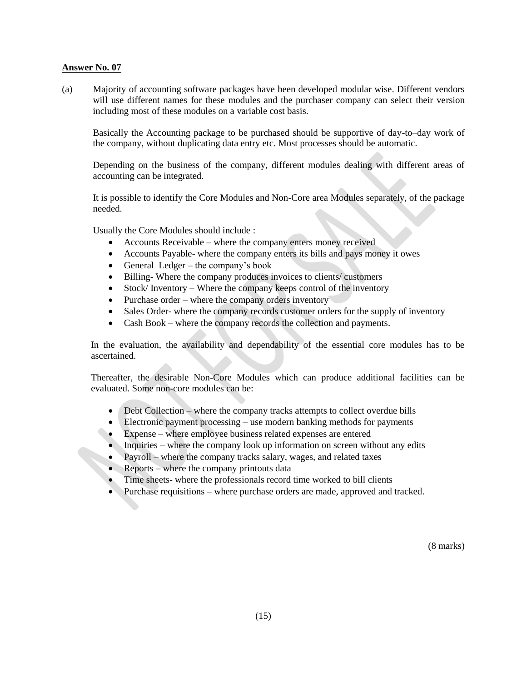(a) Majority of accounting software packages have been developed modular wise. Different vendors will use different names for these modules and the purchaser company can select their version including most of these modules on a variable cost basis.

Basically the Accounting package to be purchased should be supportive of day-to–day work of the company, without duplicating data entry etc. Most processes should be automatic.

Depending on the business of the company, different modules dealing with different areas of accounting can be integrated.

It is possible to identify the Core Modules and Non-Core area Modules separately, of the package needed.

Usually the Core Modules should include :

- Accounts Receivable where the company enters money received
- Accounts Payable- where the company enters its bills and pays money it owes
- General Ledger the company's book
- Billing- Where the company produces invoices to clients/ customers
- Stock/Inventory Where the company keeps control of the inventory
- Purchase order where the company orders inventory
- Sales Order- where the company records customer orders for the supply of inventory
- Cash Book where the company records the collection and payments.

In the evaluation, the availability and dependability of the essential core modules has to be ascertained.

Thereafter, the desirable Non-Core Modules which can produce additional facilities can be evaluated. Some non-core modules can be:

- Debt Collection where the company tracks attempts to collect overdue bills
- Electronic payment processing use modern banking methods for payments
- Expense where employee business related expenses are entered
- Inquiries where the company look up information on screen without any edits
- Payroll where the company tracks salary, wages, and related taxes
- Reports where the company printouts data
- Time sheets- where the professionals record time worked to bill clients
- Purchase requisitions where purchase orders are made, approved and tracked.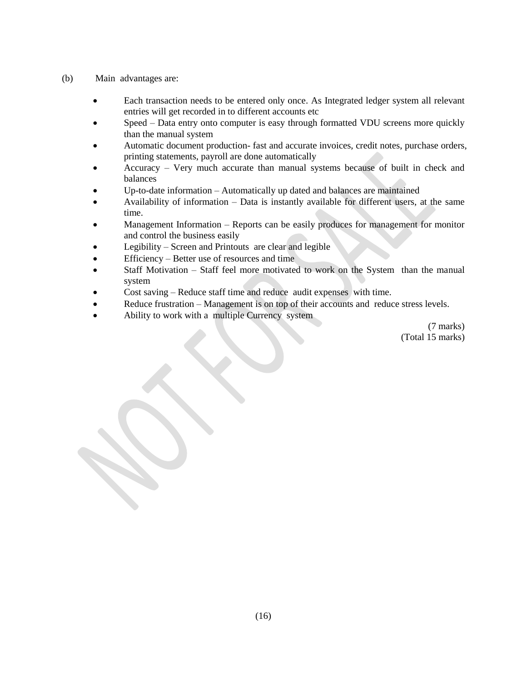- (b) Main advantages are:
	- Each transaction needs to be entered only once. As Integrated ledger system all relevant entries will get recorded in to different accounts etc
	- Speed Data entry onto computer is easy through formatted VDU screens more quickly than the manual system
	- Automatic document production- fast and accurate invoices, credit notes, purchase orders, printing statements, payroll are done automatically
	- Accuracy Very much accurate than manual systems because of built in check and balances
	- Up-to-date information Automatically up dated and balances are maintained
	- Availability of information Data is instantly available for different users, at the same time.
	- Management Information Reports can be easily produces for management for monitor and control the business easily
	- Legibility Screen and Printouts are clear and legible
	- Efficiency Better use of resources and time
	- Staff Motivation Staff feel more motivated to work on the System than the manual system
	- Cost saving Reduce staff time and reduce audit expenses with time.
	- Reduce frustration Management is on top of their accounts and reduce stress levels.
	- Ability to work with a multiple Currency system

(7 marks) (Total 15 marks)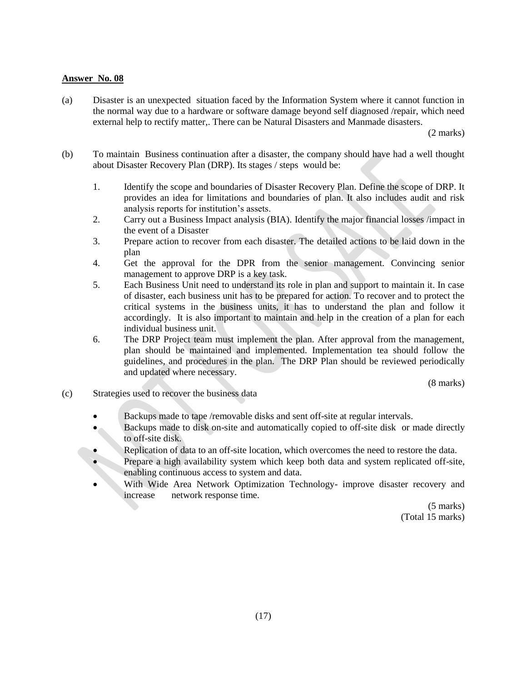(a) Disaster is an unexpected situation faced by the Information System where it cannot function in the normal way due to a hardware or software damage beyond self diagnosed /repair, which need external help to rectify matter,. There can be Natural Disasters and Manmade disasters.

(2 marks)

- (b) To maintain Business continuation after a disaster, the company should have had a well thought about Disaster Recovery Plan (DRP). Its stages / steps would be:
	- 1. Identify the scope and boundaries of Disaster Recovery Plan. Define the scope of DRP. It provides an idea for limitations and boundaries of plan. It also includes audit and risk analysis reports for institution"s assets.
	- 2. Carry out a Business Impact analysis (BIA). Identify the major financial losses /impact in the event of a Disaster
	- 3. Prepare action to recover from each disaster. The detailed actions to be laid down in the plan
	- 4. Get the approval for the DPR from the senior management. Convincing senior management to approve DRP is a key task.
	- 5. Each Business Unit need to understand its role in plan and support to maintain it. In case of disaster, each business unit has to be prepared for action. To recover and to protect the critical systems in the business units, it has to understand the plan and follow it accordingly. It is also important to maintain and help in the creation of a plan for each individual business unit.
	- 6. The DRP Project team must implement the plan. After approval from the management, plan should be maintained and implemented. Implementation tea should follow the guidelines, and procedures in the plan. The DRP Plan should be reviewed periodically and updated where necessary.

(8 marks)

- (c) Strategies used to recover the business data
	- Backups made to tape /removable disks and sent off-site at regular intervals.
	- Backups made to disk on-site and automatically copied to off-site disk or made directly to off-site disk.
	- Replication of data to an off-site location, which overcomes the need to restore the data.
	- **Prepare a high availability system which keep both data and system replicated off-site,** enabling continuous access to system and data.
	- With Wide Area Network Optimization Technology- improve disaster recovery and increase network response time.

(5 marks) (Total 15 marks)